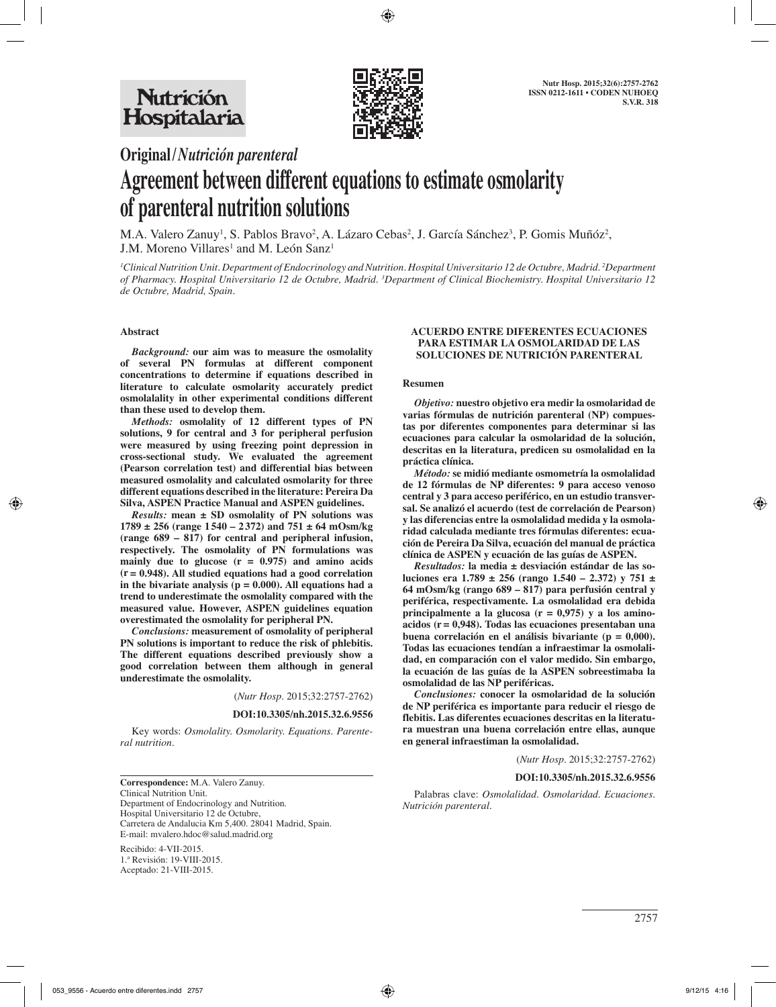

# **Original/***Nutrición parenteral* **Agreement between different equations to estimate osmolarity of parenteral nutrition solutions**

M.A. Valero Zanuy<sup>1</sup>, S. Pablos Bravo<sup>2</sup>, A. Lázaro Cebas<sup>2</sup>, J. García Sánchez<sup>3</sup>, P. Gomis Muñóz<sup>2</sup>,  $J.M.$  Moreno Villares<sup>1</sup> and M. León Sanz<sup>1</sup>

*1 Clinical Nutrition Unit. Department of Endocrinology and Nutrition. Hospital Universitario 12 de Octubre, Madrid. 2 Department of Pharmacy. Hospital Universitario 12 de Octubre, Madrid. 3 Department of Clinical Biochemistry. Hospital Universitario 12 de Octubre, Madrid, Spain.*

#### **Abstract**

*Background:* **our aim was to measure the osmolality of several PN formulas at different component concentrations to determine if equations described in literature to calculate osmolarity accurately predict osmolalality in other experimental conditions different than these used to develop them.** 

*Methods:* **osmolality of 12 different types of PN solutions, 9 for central and 3 for peripheral perfusion were measured by using freezing point depression in cross-sectional study. We evaluated the agreement (Pearson correlation test) and differential bias between measured osmolality and calculated osmolarity for three different equations described in the literature: Pereira Da Silva, ASPEN Practice Manual and ASPEN guidelines.** 

*Results:* **mean ± SD osmolality of PN solutions was 1789 ± 256 (range 1 540 – 2 372) and 751 ± 64 mOsm/kg (range 689 – 817) for central and peripheral infusion, respectively. The osmolality of PN formulations was mainly due to glucose (r = 0.975) and amino acids (r = 0.948). All studied equations had a good correlation**  in the bivariate analysis  $(p = 0.000)$ . All equations had a **trend to underestimate the osmolality compared with the measured value. However, ASPEN guidelines equation overestimated the osmolality for peripheral PN.** 

*Conclusions:* **measurement of osmolality of peripheral PN solutions is important to reduce the risk of phlebitis. The different equations described previously show a good correlation between them although in general underestimate the osmolality.**

(*Nutr Hosp.* 2015;32:2757-2762)

**DOI:10.3305/nh.2015.32.6.9556**

Key words: *Osmolality. Osmolarity. Equations. Parenteral nutrition.*

**Correspondence:** M.A. Valero Zanuy. Clinical Nutrition Unit. Department of Endocrinology and Nutrition. Hospital Universitario 12 de Octubre, Carretera de Andalucia Km 5,400. 28041 Madrid, Spain. E-mail: mvalero.hdoc@salud.madrid.org

Recibido: 4-VII-2015. 1.ª Revisión: 19-VIII-2015. Aceptado: 21-VIII-2015.

#### **ACUERDO ENTRE DIFERENTES ECUACIONES PARA ESTIMAR LA OSMOLARIDAD DE LAS SOLUCIONES DE NUTRICIÓN PARENTERAL**

#### **Resumen**

*Objetivo:* **nuestro objetivo era medir la osmolaridad de varias fórmulas de nutrición parenteral (NP) compuestas por diferentes componentes para determinar si las ecuaciones para calcular la osmolaridad de la solución, descritas en la literatura, predicen su osmolalidad en la práctica clínica.** 

*Método:* **se midió mediante osmometría la osmolalidad de 12 fórmulas de NP diferentes: 9 para acceso venoso central y 3 para acceso periférico, en un estudio transversal. Se analizó el acuerdo (test de correlación de Pearson) y las diferencias entre la osmolalidad medida y la osmolaridad calculada mediante tres fórmulas diferentes: ecuación de Pereira Da Silva, ecuación del manual de práctica clínica de ASPEN y ecuación de las guías de ASPEN.** 

*Resultados:* **la media ± desviación estándar de las soluciones era 1.789 ± 256 (rango 1.540 – 2.372) y 751 ± 64 mOsm/kg (rango 689 – 817) para perfusión central y periférica, respectivamente. La osmolalidad era debida principalmente a la glucosa (r = 0,975) y a los aminoacidos (r = 0,948). Todas las ecuaciones presentaban una buena correlación en el análisis bivariante (p = 0,000). Todas las ecuaciones tendían a infraestimar la osmolalidad, en comparación con el valor medido. Sin embargo, la ecuación de las guías de la ASPEN sobreestimaba la osmolalidad de las NP periféricas.** 

*Conclusiones:* **conocer la osmolaridad de la solución de NP periférica es importante para reducir el riesgo de flebitis. Las diferentes ecuaciones descritas en la literatura muestran una buena correlación entre ellas, aunque en general infraestiman la osmolalidad.** 

(*Nutr Hosp.* 2015;32:2757-2762)

#### **DOI:10.3305/nh.2015.32.6.9556**

Palabras clave: *Osmolalidad. Osmolaridad. Ecuaciones. Nutrición parenteral.*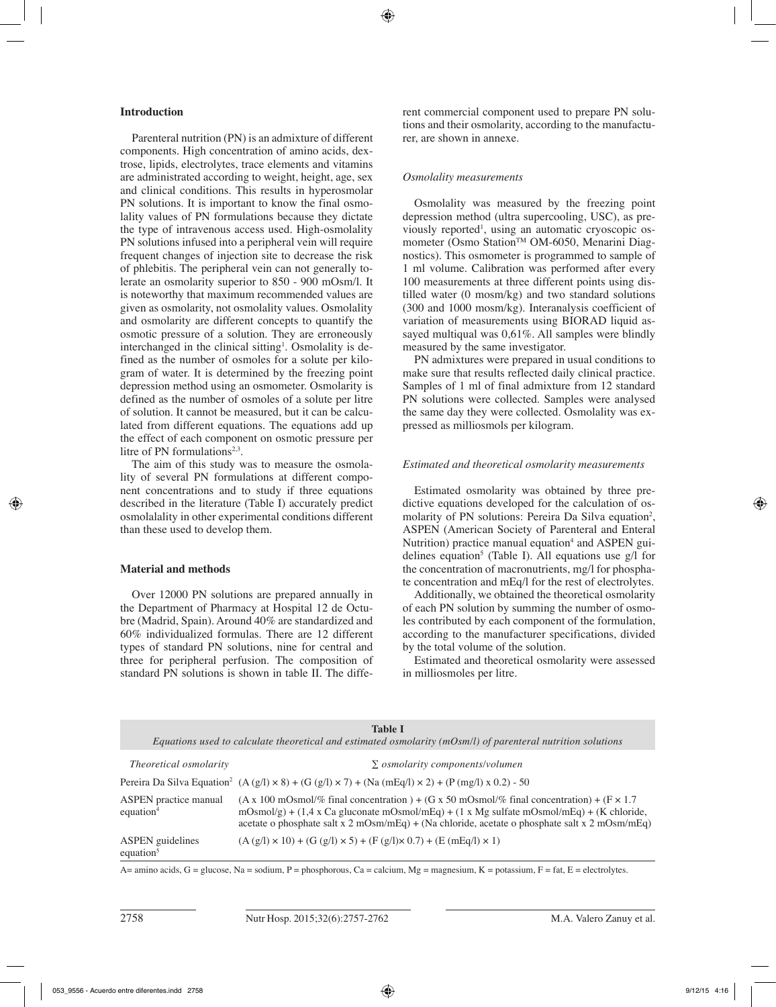# **Introduction**

Parenteral nutrition (PN) is an admixture of different components. High concentration of amino acids, dextrose, lipids, electrolytes, trace elements and vitamins are administrated according to weight, height, age, sex and clinical conditions. This results in hyperosmolar PN solutions. It is important to know the final osmolality values of PN formulations because they dictate the type of intravenous access used. High-osmolality PN solutions infused into a peripheral vein will require frequent changes of injection site to decrease the risk of phlebitis. The peripheral vein can not generally tolerate an osmolarity superior to 850 - 900 mOsm/l. It is noteworthy that maximum recommended values are given as osmolarity, not osmolality values. Osmolality and osmolarity are different concepts to quantify the osmotic pressure of a solution. They are erroneously interchanged in the clinical sitting<sup>1</sup>. Osmolality is defined as the number of osmoles for a solute per kilogram of water. It is determined by the freezing point depression method using an osmometer. Osmolarity is defined as the number of osmoles of a solute per litre of solution. It cannot be measured, but it can be calculated from different equations. The equations add up the effect of each component on osmotic pressure per litre of PN formulations<sup>2,3</sup>.

The aim of this study was to measure the osmolality of several PN formulations at different component concentrations and to study if three equations described in the literature (Table I) accurately predict osmolalality in other experimental conditions different than these used to develop them.

# **Material and methods**

Over 12000 PN solutions are prepared annually in the Department of Pharmacy at Hospital 12 de Octubre (Madrid, Spain). Around 40% are standardized and 60% individualized formulas. There are 12 different types of standard PN solutions, nine for central and three for peripheral perfusion. The composition of standard PN solutions is shown in table II. The different commercial component used to prepare PN solutions and their osmolarity, according to the manufacturer, are shown in annexe.

### *Osmolality measurements*

Osmolality was measured by the freezing point depression method (ultra supercooling, USC), as previously reported<sup>1</sup>, using an automatic cryoscopic osmometer (Osmo Station™ OM-6050, Menarini Diagnostics). This osmometer is programmed to sample of 1 ml volume. Calibration was performed after every 100 measurements at three different points using distilled water (0 mosm/kg) and two standard solutions (300 and 1000 mosm/kg). Interanalysis coefficient of variation of measurements using BIORAD liquid assayed multiqual was 0,61%. All samples were blindly measured by the same investigator.

PN admixtures were prepared in usual conditions to make sure that results reflected daily clinical practice. Samples of 1 ml of final admixture from 12 standard PN solutions were collected. Samples were analysed the same day they were collected. Osmolality was expressed as milliosmols per kilogram.

# *Estimated and theoretical osmolarity measurements*

Estimated osmolarity was obtained by three predictive equations developed for the calculation of osmolarity of PN solutions: Pereira Da Silva equation<sup>2</sup>, ASPEN (American Society of Parenteral and Enteral Nutrition) practice manual equation<sup>4</sup> and ASPEN guidelines equation<sup>5</sup> (Table I). All equations use  $g/l$  for the concentration of macronutrients, mg/l for phosphate concentration and mEq/l for the rest of electrolytes.

Additionally, we obtained the theoretical osmolarity of each PN solution by summing the number of osmoles contributed by each component of the formulation, according to the manufacturer specifications, divided by the total volume of the solution.

Estimated and theoretical osmolarity were assessed in milliosmoles per litre.

|                                         | <b>Table I</b><br>Equations used to calculate theoretical and estimated osmolarity $(mOsm/l)$ of parenteral nutrition solutions                                                                                                                                                                                                                                                          |
|-----------------------------------------|------------------------------------------------------------------------------------------------------------------------------------------------------------------------------------------------------------------------------------------------------------------------------------------------------------------------------------------------------------------------------------------|
| Theoretical osmolarity                  | $\Sigma$ osmolarity components/volumen                                                                                                                                                                                                                                                                                                                                                   |
|                                         | Pereira Da Silva Equation <sup>2</sup> (A (g/l) $\times$ 8) + (G (g/l) $\times$ 7) + (Na (mEq/l) $\times$ 2) + (P (mg/l) x 0.2) - 50                                                                                                                                                                                                                                                     |
| ASPEN practice manual<br>equation $4$   | $(A \times 100 \text{ mOsmol}/\% \text{ final concentration}) + (G \times 50 \text{ mOsmol}/\% \text{ final concentration}) + (F \times 1.7 \text{ mOsmol}/\% \text{ final concentration})$<br>mOsmol/g) + (1,4 x Ca gluconate mOsmol/mEq) + (1 x Mg sulfate mOsmol/mEq) + (K chloride,<br>acetate o phosphate salt x 2 mOsm/mEq) + (Na chloride, acetate o phosphate salt x 2 mOsm/mEq) |
| <b>ASPEN</b> guidelines<br>equation $5$ | $(A (g/l) \times 10) + (G (g/l) \times 5) + (F (g/l) \times 0.7) + (E (mEq/l) \times 1)$                                                                                                                                                                                                                                                                                                 |

A= amino acids,  $G =$  glucose,  $Na =$  sodium,  $P =$  phosphorous,  $Ca =$  calcium,  $Mg =$  magnesium,  $K =$  potassium,  $F =$  fat,  $E =$  electrolytes.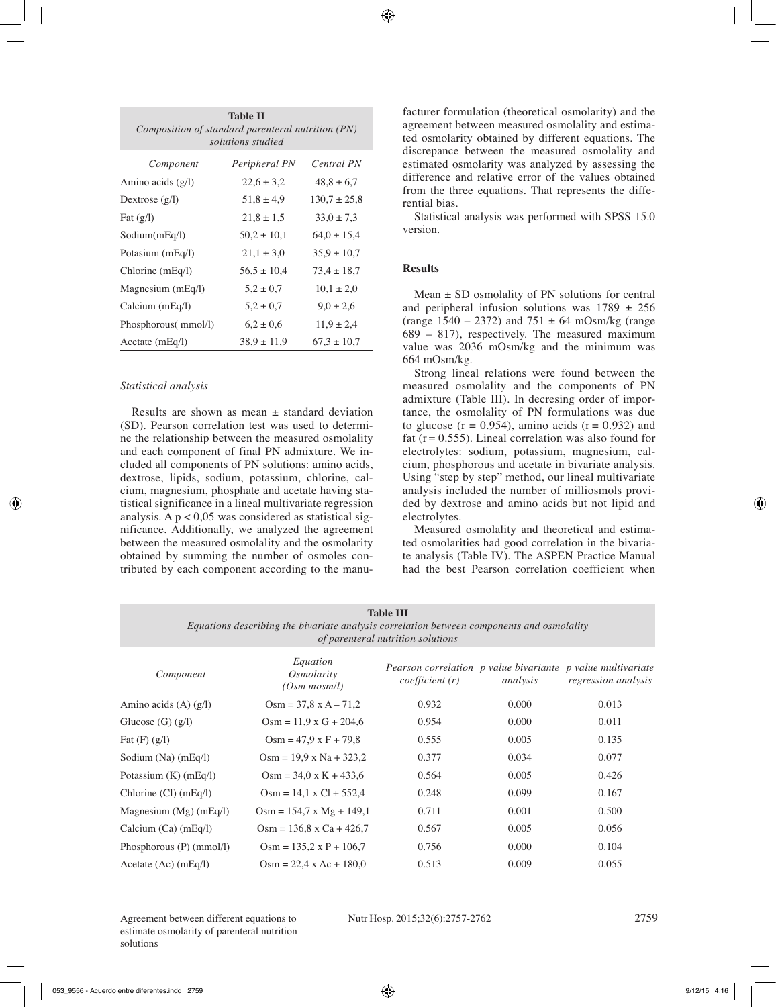| <b>Table II</b><br>Composition of standard parenteral nutrition (PN)<br>solutions studied |                 |                  |  |  |
|-------------------------------------------------------------------------------------------|-----------------|------------------|--|--|
| Component                                                                                 | Peripheral PN   | Central PN       |  |  |
| Amino acids $(g/l)$                                                                       | $22.6 \pm 3.2$  | $48,8 \pm 6,7$   |  |  |
| Dextrose $(g/l)$                                                                          | $51,8 \pm 4,9$  | $130.7 \pm 25.8$ |  |  |
| Fat $(g/l)$                                                                               | $21.8 \pm 1.5$  | $33.0 \pm 7.3$   |  |  |
| Sodium(mEq/l)                                                                             | $50.2 \pm 10.1$ | $64.0 \pm 15.4$  |  |  |
| Potasium (mEq/l)                                                                          | $21,1 \pm 3,0$  | $35.9 \pm 10.7$  |  |  |
| Chlorine $(mEq/l)$                                                                        | $56.5 \pm 10.4$ | $73.4 \pm 18.7$  |  |  |
| Magnesium (mEq/l)                                                                         | $5.2 \pm 0.7$   | $10.1 \pm 2.0$   |  |  |
| Calcium (mEq/l)                                                                           | $5.2 \pm 0.7$   | $9.0 \pm 2.6$    |  |  |
| Phosphorous( mmol/l)                                                                      | $6.2 \pm 0.6$   | $11.9 \pm 2.4$   |  |  |
| Acetate $(mEq/I)$                                                                         | $38.9 \pm 11.9$ | $67.3 \pm 10.7$  |  |  |

# *Statistical analysis*

Results are shown as mean  $\pm$  standard deviation (SD). Pearson correlation test was used to determine the relationship between the measured osmolality and each component of final PN admixture. We included all components of PN solutions: amino acids, dextrose, lipids, sodium, potassium, chlorine, calcium, magnesium, phosphate and acetate having statistical significance in a lineal multivariate regression analysis. A  $p < 0.05$  was considered as statistical significance. Additionally, we analyzed the agreement between the measured osmolality and the osmolarity obtained by summing the number of osmoles contributed by each component according to the manufacturer formulation (theoretical osmolarity) and the agreement between measured osmolality and estimated osmolarity obtained by different equations. The discrepance between the measured osmolality and estimated osmolarity was analyzed by assessing the difference and relative error of the values obtained from the three equations. That represents the differential bias.

Statistical analysis was performed with SPSS 15.0 version.

# **Results**

Mean  $\pm$  SD osmolality of PN solutions for central and peripheral infusion solutions was  $1789 \pm 256$ (range  $1540 - 2372$ ) and  $751 \pm 64$  mOsm/kg (range) 689 – 817), respectively. The measured maximum value was 2036 mOsm/kg and the minimum was 664 mOsm/kg.

Strong lineal relations were found between the measured osmolality and the components of PN admixture (Table III). In decresing order of importance, the osmolality of PN formulations was due to glucose  $(r = 0.954)$ , amino acids  $(r = 0.932)$  and fat ( $r = 0.555$ ). Lineal correlation was also found for electrolytes: sodium, potassium, magnesium, calcium, phosphorous and acetate in bivariate analysis. Using "step by step" method, our lineal multivariate analysis included the number of milliosmols provided by dextrose and amino acids but not lipid and electrolytes.

Measured osmolality and theoretical and estimated osmolarities had good correlation in the bivariate analysis (Table IV). The ASPEN Practice Manual had the best Pearson correlation coefficient when

| <b>Table III</b><br>Equations describing the bivariate analysis correlation between components and osmolality<br>of parenteral nutrition solutions |                                             |                |          |                                                                                    |  |
|----------------------------------------------------------------------------------------------------------------------------------------------------|---------------------------------------------|----------------|----------|------------------------------------------------------------------------------------|--|
| Component                                                                                                                                          | Equation<br>Osmolarity<br>$(Osm \, mosm/l)$ | coefficient(r) | analysis | Pearson correlation p value bivariante p value multivariate<br>regression analysis |  |
| Amino acids $(A)$ $(g/l)$                                                                                                                          | $Osm = 37.8 \times A - 71.2$                | 0.932          | 0.000    | 0.013                                                                              |  |
| Glucose $(G)$ $(g/l)$                                                                                                                              | $Osm = 11.9 \times G + 204.6$               | 0.954          | 0.000    | 0.011                                                                              |  |
| Fat $(F)$ $(g/l)$                                                                                                                                  | $Osm = 47.9 \times F + 79.8$                | 0.555          | 0.005    | 0.135                                                                              |  |
| Sodium $(Na)$ (mEq/l)                                                                                                                              | $Osm = 19.9 \times Na + 323.2$              | 0.377          | 0.034    | 0.077                                                                              |  |
| Potassium $(K)$ (mEq/l)                                                                                                                            | $Osm = 34.0 \times K + 433.6$               | 0.564          | 0.005    | 0.426                                                                              |  |
| Chlorine (Cl) (mEq/l)                                                                                                                              | $Osm = 14.1 \times Cl + 552.4$              | 0.248          | 0.099    | 0.167                                                                              |  |
| Magnesium $(Mg)$ (mEq/l)                                                                                                                           | $Osm = 154.7 \times Mg + 149.1$             | 0.711          | 0.001    | 0.500                                                                              |  |
| Calcium $(Ca)$ (mEq/l)                                                                                                                             | $Osm = 136.8$ x Ca + 426.7                  | 0.567          | 0.005    | 0.056                                                                              |  |
| Phosphorous (P) (mmol/l)                                                                                                                           | $Osm = 135.2 \times P + 106.7$              | 0.756          | 0.000    | 0.104                                                                              |  |
| Acetate $(Ac)$ (mEq/l)                                                                                                                             | $Osm = 22.4 \times Ac + 180.0$              | 0.513          | 0.009    | 0.055                                                                              |  |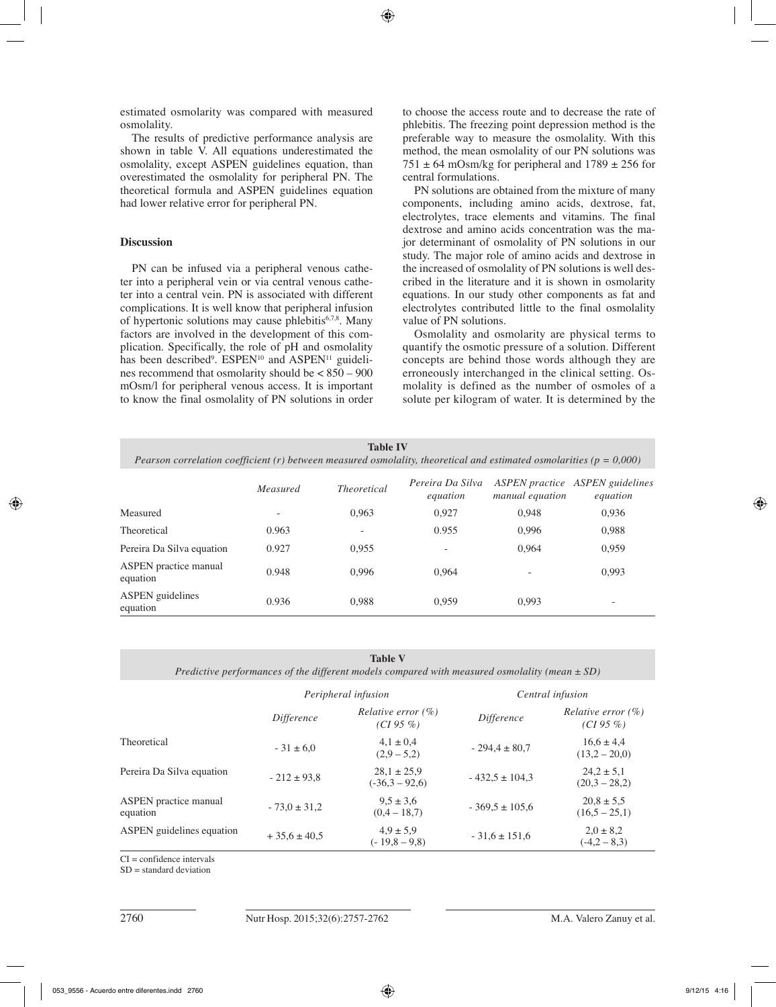estimated osmolarity was compared with measured osmolality.

The results of predictive performance analysis are shown in table V. All equations underestimated the osmolality, except ASPEN guidelines equation, than overestimated the osmolality for peripheral PN. The theoretical formula and ASPEN guidelines equation had lower relative error for peripheral PN.

#### **Discussion**

PN can be infused via a peripheral venous catheter into a peripheral vein or via central venous catheter into a central vein. PN is associated with different complications. It is well know that peripheral infusion of hypertonic solutions may cause phlebitis6,7,8. Many factors are involved in the development of this complication. Specifically, the role of pH and osmolality has been described<sup>9</sup>.  $ESPEN^{10}$  and  $ASPEN^{11}$  guidelines recommend that osmolarity should be < 850 – 900 mOsm/l for peripheral venous access. It is important to know the final osmolality of PN solutions in order to choose the access route and to decrease the rate of phlebitis. The freezing point depression method is the preferable way to measure the osmolality. With this method, the mean osmolality of our PN solutions was  $751 \pm 64$  mOsm/kg for peripheral and  $1789 \pm 256$  for central formulations.

PN solutions are obtained from the mixture of many components, including amino acids, dextrose, fat, electrolytes, trace elements and vitamins. The final dextrose and amino acids concentration was the major determinant of osmolality of PN solutions in our study. The major role of amino acids and dextrose in the increased of osmolality of PN solutions is well described in the literature and it is shown in osmolarity equations. In our study other components as fat and electrolytes contributed little to the final osmolality value of PN solutions.

Osmolality and osmolarity are physical terms to quantify the osmotic pressure of a solution. Different concepts are behind those words although they are erroneously interchanged in the clinical setting. Osmolality is defined as the number of osmoles of a solute per kilogram of water. It is determined by the

| <b>Table IV</b><br>Pearson correlation coefficient (r) between measured osmolality, theoretical and estimated osmolarities ( $p = 0,000$ ) |          |                    |                              |                 |                                                    |
|--------------------------------------------------------------------------------------------------------------------------------------------|----------|--------------------|------------------------------|-----------------|----------------------------------------------------|
|                                                                                                                                            | Measured | <i>Theoretical</i> | Pereira Da Silva<br>equation | manual equation | <b>ASPEN</b> practice ASPEN guidelines<br>equation |
| Measured                                                                                                                                   |          | 0.963              | 0,927                        | 0.948           | 0,936                                              |
| Theoretical                                                                                                                                | 0.963    |                    | 0.955                        | 0.996           | 0,988                                              |
| Pereira Da Silva equation                                                                                                                  | 0.927    | 0,955              |                              | 0.964           | 0,959                                              |
| <b>ASPEN</b> practice manual<br>equation                                                                                                   | 0.948    | 0.996              | 0.964                        |                 | 0.993                                              |
| <b>ASPEN</b> guidelines<br>equation                                                                                                        | 0.936    | 0.988              | 0.959                        | 0.993           |                                                    |

**Table V** 

*Predictive performances of the different models compared with measured osmolality (mean ± SD)*

|                                          | Peripheral infusion |                                             | Central infusion   |                                             |
|------------------------------------------|---------------------|---------------------------------------------|--------------------|---------------------------------------------|
|                                          | Difference          | <i>Relative error</i> $(\%)$<br>$(CI 95\%)$ | <i>Difference</i>  | <i>Relative error</i> $(\%)$<br>$(CI 95\%)$ |
| Theoretical                              | $-31 \pm 6.0$       | $4.1 \pm 0.4$<br>$(2,9-5,2)$                | $-294.4 \pm 80.7$  | $16.6 \pm 4.4$<br>$(13.2 - 20.0)$           |
| Pereira Da Silva equation                | $-212 \pm 93.8$     | $28.1 \pm 25.9$<br>$(-36.3 - 92.6)$         | $-432.5 \pm 104.3$ | $24.2 \pm 5.1$<br>$(20.3 - 28.2)$           |
| <b>ASPEN</b> practice manual<br>equation | $-73.0 \pm 31.2$    | $9.5 \pm 3.6$<br>$(0.4 - 18.7)$             | $-369.5 \pm 105.6$ | $20.8 \pm 5.5$<br>$(16.5 - 25.1)$           |
| <b>ASPEN</b> guidelines equation         | $+35.6 \pm 40.5$    | $4.9 \pm 5.9$<br>$(-19.8 - 9.8)$            | $-31.6 \pm 151.6$  | $2.0 \pm 8.2$<br>$(-4,2 - 8,3)$             |

 $CI = confidence$  intervals

 $SD =$  standard deviation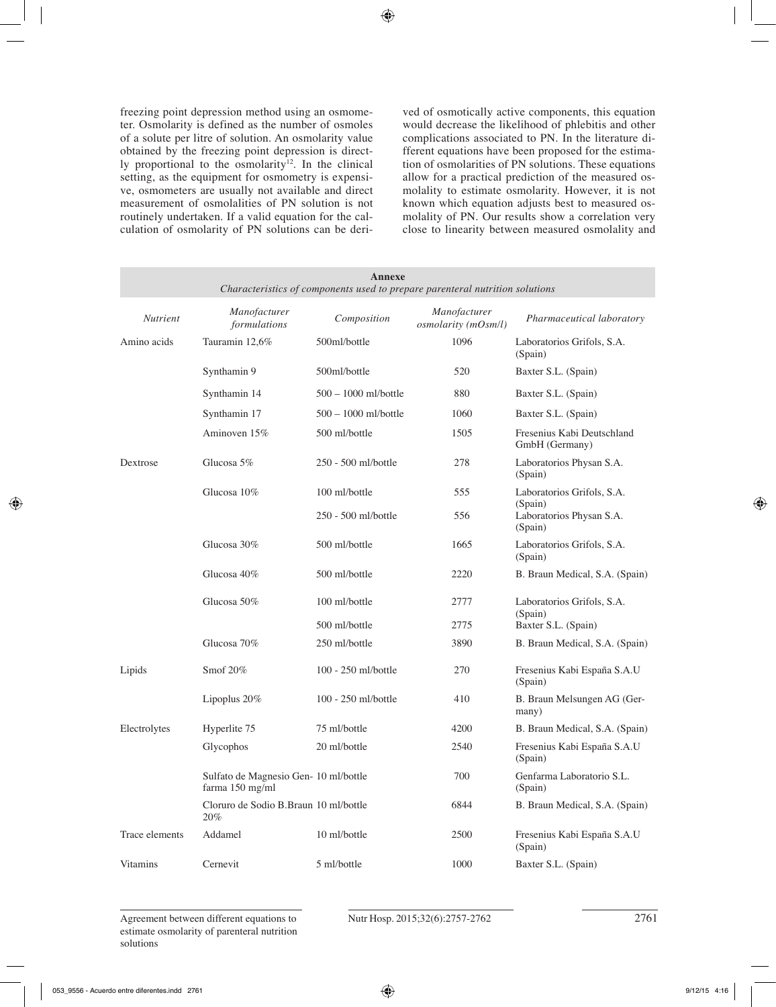freezing point depression method using an osmometer. Osmolarity is defined as the number of osmoles of a solute per litre of solution. An osmolarity value obtained by the freezing point depression is directly proportional to the osmolarity<sup>12</sup>. In the clinical setting, as the equipment for osmometry is expensive, osmometers are usually not available and direct measurement of osmolalities of PN solution is not routinely undertaken. If a valid equation for the calculation of osmolarity of PN solutions can be derived of osmotically active components, this equation would decrease the likelihood of phlebitis and other complications associated to PN. In the literature different equations have been proposed for the estimation of osmolarities of PN solutions. These equations allow for a practical prediction of the measured osmolality to estimate osmolarity. However, it is not known which equation adjusts best to measured osmolality of PN. Our results show a correlation very close to linearity between measured osmolality and

| Annexe<br>Characteristics of components used to prepare parenteral nutrition solutions |                                                          |                      |                                     |                                                |
|----------------------------------------------------------------------------------------|----------------------------------------------------------|----------------------|-------------------------------------|------------------------------------------------|
| <b>Nutrient</b>                                                                        | Manofacturer<br>formulations                             | Composition          | Manofacturer<br>osmolarity (mOsm/l) | Pharmaceutical laboratory                      |
| Amino acids                                                                            | Tauramin 12,6%                                           | 500ml/bottle         | 1096                                | Laboratorios Grifols, S.A.<br>(Spain)          |
|                                                                                        | Synthamin 9                                              | 500ml/bottle         | 520                                 | Baxter S.L. (Spain)                            |
|                                                                                        | Synthamin 14                                             | 500 - 1000 ml/bottle | 880                                 | Baxter S.L. (Spain)                            |
|                                                                                        | Synthamin 17                                             | 500 - 1000 ml/bottle | 1060                                | Baxter S.L. (Spain)                            |
|                                                                                        | Aminoven 15%                                             | 500 ml/bottle        | 1505                                | Fresenius Kabi Deutschland<br>GmbH (Germany)   |
| Dextrose                                                                               | Glucosa $5\%$                                            | 250 - 500 ml/bottle  | 278                                 | Laboratorios Physan S.A.<br>(Spain)            |
|                                                                                        | Glucosa 10%                                              | 100 ml/bottle        | 555                                 | Laboratorios Grifols, S.A.                     |
|                                                                                        |                                                          | 250 - 500 ml/bottle  | 556                                 | (Spain)<br>Laboratorios Physan S.A.<br>(Spain) |
|                                                                                        | Glucosa 30%                                              | 500 ml/bottle        | 1665                                | Laboratorios Grifols, S.A.<br>(Spain)          |
|                                                                                        | Glucosa 40%                                              | 500 ml/bottle        | 2220                                | B. Braun Medical, S.A. (Spain)                 |
|                                                                                        | Glucosa 50%                                              | 100 ml/bottle        | 2777                                | Laboratorios Grifols, S.A.<br>(Spain)          |
|                                                                                        |                                                          | 500 ml/bottle        | 2775                                | Baxter S.L. (Spain)                            |
|                                                                                        | Glucosa 70%                                              | 250 ml/bottle        | 3890                                | B. Braun Medical, S.A. (Spain)                 |
| Lipids                                                                                 | Smof 20%                                                 | 100 - 250 ml/bottle  | 270                                 | Fresenius Kabi España S.A.U<br>(Spain)         |
|                                                                                        | Lipoplus $20\%$                                          | 100 - 250 ml/bottle  | 410                                 | B. Braun Melsungen AG (Ger-<br>many)           |
| Electrolytes                                                                           | Hyperlite 75                                             | 75 ml/bottle         | 4200                                | B. Braun Medical, S.A. (Spain)                 |
|                                                                                        | Glycophos                                                | 20 ml/bottle         | 2540                                | Fresenius Kabi España S.A.U<br>(Spain)         |
|                                                                                        | Sulfato de Magnesio Gen- 10 ml/bottle<br>farma 150 mg/ml |                      | 700                                 | Genfarma Laboratorio S.L.<br>(Spain)           |
|                                                                                        | Cloruro de Sodio B.Braun 10 ml/bottle<br>20%             |                      | 6844                                | B. Braun Medical, S.A. (Spain)                 |
| Trace elements                                                                         | Addamel                                                  | 10 ml/bottle         | 2500                                | Fresenius Kabi España S.A.U<br>(Spain)         |
| <b>Vitamins</b>                                                                        | Cernevit                                                 | 5 ml/bottle          | 1000                                | Baxter S.L. (Spain)                            |